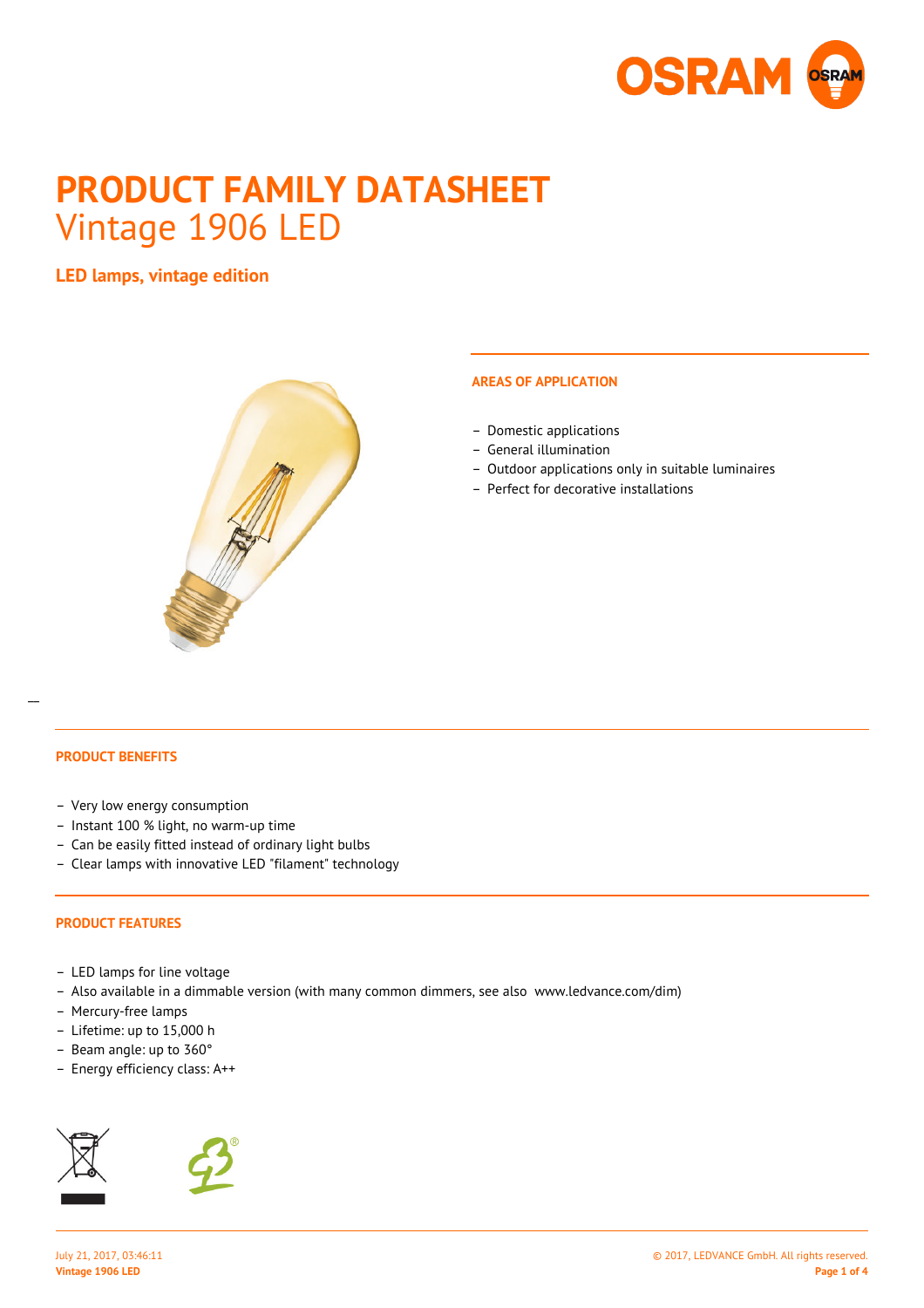

# **PRODUCT FAMILY DATASHEET** Vintage 1906 LED

**LED lamps, vintage edition**



### **AREAS OF APPLICATION**

- Domestic applications
- General illumination
- Outdoor applications only in suitable luminaires
- Perfect for decorative installations

## **PRODUCT BENEFITS**

 $\overline{a}$ 

- Very low energy consumption
- Instant 100 % light, no warm-up time
- Can be easily fitted instead of ordinary light bulbs
- Clear lamps with innovative LED "filament" technology

#### **PRODUCT FEATURES**

- LED lamps for line voltage
- Also available in a dimmable version (with many common dimmers, see also www.ledvance.com/dim)
- Mercury-free lamps
- Lifetime: up to 15,000 h
- Beam angle: up to 360°
- Energy efficiency class: A++



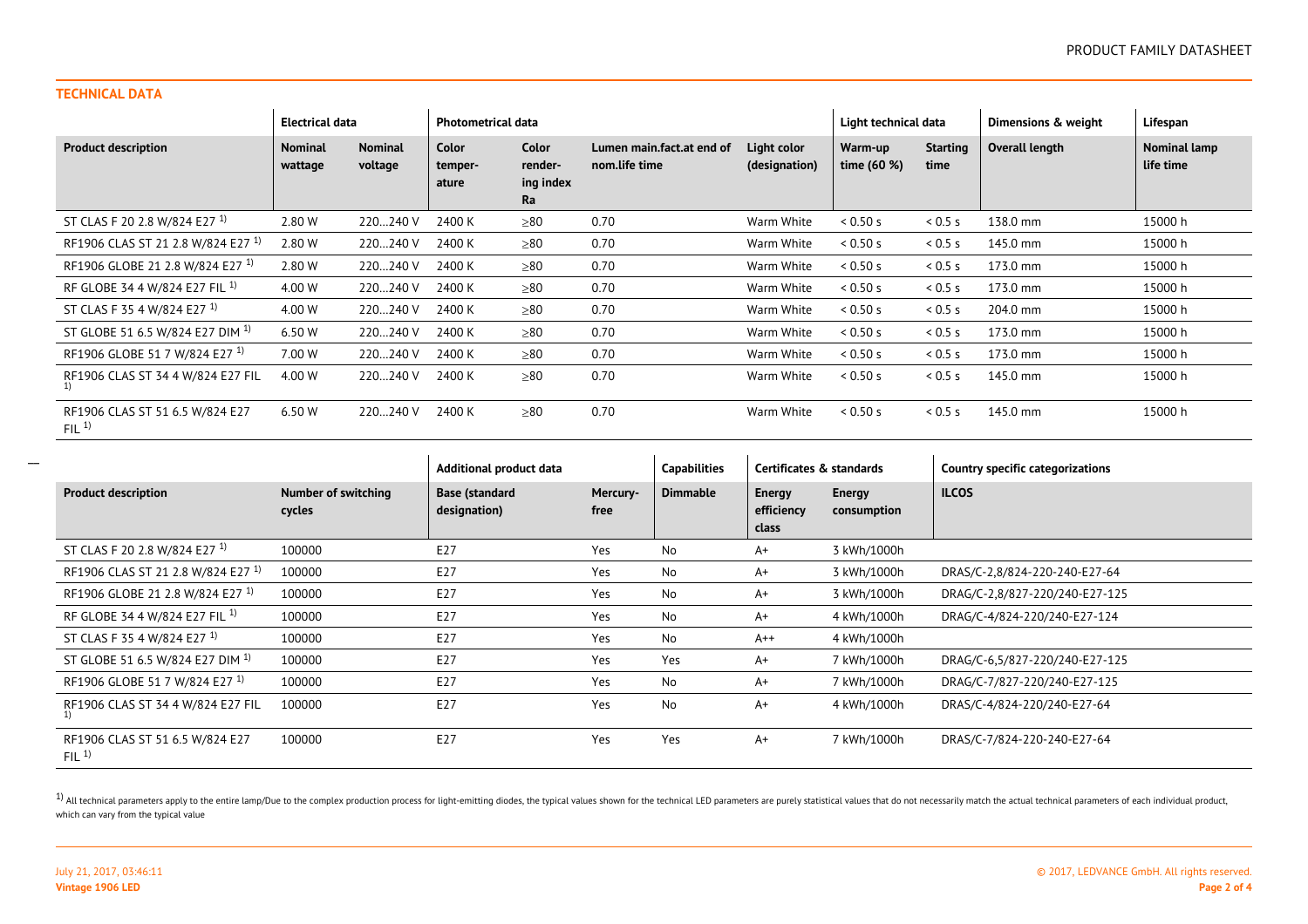## **TECHNICAL DATA**

|                                                     | <b>Electrical data</b>    |                           | <b>Photometrical data</b> |                                            |                                            |                              | Light technical data   |                         | Dimensions & weight | Lifespan                  |
|-----------------------------------------------------|---------------------------|---------------------------|---------------------------|--------------------------------------------|--------------------------------------------|------------------------------|------------------------|-------------------------|---------------------|---------------------------|
| <b>Product description</b>                          | <b>Nominal</b><br>wattage | <b>Nominal</b><br>voltage | Color<br>temper-<br>ature | <b>Color</b><br>render-<br>ing index<br>Ra | Lumen main.fact.at end of<br>nom.life time | Light color<br>(designation) | Warm-up<br>time (60 %) | <b>Starting</b><br>time | Overall length      | Nominal lamp<br>life time |
| ST CLAS F 20 2.8 W/824 E27 <sup>1)</sup>            | 2.80 W                    | 220240 V                  | 2400 K                    | $\geq 80$                                  | 0.70                                       | Warm White                   | 0.50 s                 | 0.5s                    | 138.0 mm            | 15000 h                   |
| RF1906 CLAS ST 21 2.8 W/824 E27 <sup>1)</sup>       | 2.80 W                    | 220240 V                  | 2400 K                    | >80                                        | 0.70                                       | Warm White                   | 0.50 s                 | 0.5s                    | 145.0 mm            | 15000 h                   |
| RF1906 GLOBE 21 2.8 W/824 E27 <sup>1)</sup>         | 2.80 W                    | 220240 V                  | 2400 K                    | $\geq 80$                                  | 0.70                                       | Warm White                   | 0.50 s                 | 0.5s                    | 173.0 mm            | 15000 h                   |
| RF GLOBE 34 4 W/824 E27 FIL <sup>1)</sup>           | 4.00 W                    | 220240 V                  | 2400 K                    | $\geq 80$                                  | 0.70                                       | Warm White                   | 0.50 s                 | 0.5s                    | 173.0 mm            | 15000 h                   |
| ST CLAS F 35 4 W/824 E27 <sup>1)</sup>              | 4.00 W                    | 220240 V                  | 2400 K                    | $\geq 80$                                  | 0.70                                       | Warm White                   | 0.50 s                 | 0.5s                    | 204.0 mm            | 15000 h                   |
| ST GLOBE 51 6.5 W/824 E27 DIM <sup>1)</sup>         | 6.50 W                    | 220240 V                  | 2400 K                    | $\geq 80$                                  | 0.70                                       | Warm White                   | 0.50 s                 | 0.5s                    | 173.0 mm            | 15000 h                   |
| RF1906 GLOBE 51 7 W/824 E27 <sup>1)</sup>           | 7.00 W                    | 220240 V                  | 2400 K                    | > 80                                       | 0.70                                       | Warm White                   | 0.50 s                 | 0.5 s                   | 173.0 mm            | 15000 h                   |
| RF1906 CLAS ST 34 4 W/824 E27 FIL<br>1)             | 4.00 W                    | 220240 V                  | 2400 K                    | $\geq 80$                                  | 0.70                                       | Warm White                   | 0.50 s                 | 0.5s                    | 145.0 mm            | 15000 h                   |
| RF1906 CLAS ST 51 6.5 W/824 E27<br>FIL <sup>1</sup> | 6.50 W                    | 220240 V                  | 2400 K                    | $\geq 80$                                  | 0.70                                       | Warm White                   | 0.50 s                 | 0.5 s                   | 145.0 mm            | 15000 h                   |

|                                               |                                      | Additional product data               |                  | <b>Capabilities</b> | Certificates & standards      |                              | <b>Country specific categorizations</b> |  |
|-----------------------------------------------|--------------------------------------|---------------------------------------|------------------|---------------------|-------------------------------|------------------------------|-----------------------------------------|--|
| <b>Product description</b>                    | <b>Number of switching</b><br>cycles | <b>Base (standard</b><br>designation) | Mercury-<br>free | <b>Dimmable</b>     | Energy<br>efficiency<br>class | <b>Energy</b><br>consumption | <b>ILCOS</b>                            |  |
| ST CLAS F 20 2.8 W/824 E27 <sup>1)</sup>      | 100000                               | E27                                   | Yes              | No                  | $A+$                          | 3 kWh/1000h                  |                                         |  |
| RF1906 CLAS ST 21 2.8 W/824 E27 <sup>1)</sup> | 100000                               | E27                                   | Yes              | No                  | $A+$                          | 3 kWh/1000h                  | DRAS/C-2,8/824-220-240-E27-64           |  |
| RF1906 GLOBE 21 2.8 W/824 E27 <sup>1)</sup>   | 100000                               | E27                                   | Yes              | No                  | $A+$                          | 3 kWh/1000h                  | DRAG/C-2,8/827-220/240-E27-125          |  |
| RF GLOBE 34 4 W/824 E27 FIL <sup>1)</sup>     | 100000                               | E27                                   | Yes              | No                  | $A+$                          | 4 kWh/1000h                  | DRAG/C-4/824-220/240-E27-124            |  |
| ST CLAS F 35 4 W/824 E27 <sup>1)</sup>        | 100000                               | E27                                   | Yes              | No                  | $A++$                         | 4 kWh/1000h                  |                                         |  |
| ST GLOBE 51 6.5 W/824 E27 DIM <sup>1)</sup>   | 100000                               | E27                                   | Yes              | Yes                 | $A+$                          | 7 kWh/1000h                  | DRAG/C-6,5/827-220/240-E27-125          |  |
| RF1906 GLOBE 51 7 W/824 E27 <sup>1)</sup>     | 100000                               | E27                                   | Yes              | No                  | $A+$                          | 7 kWh/1000h                  | DRAG/C-7/827-220/240-E27-125            |  |
| RF1906 CLAS ST 34 4 W/824 E27 FIL             | 100000                               | E27                                   | Yes              | No                  | $A+$                          | 4 kWh/1000h                  | DRAS/C-4/824-220/240-E27-64             |  |
| RF1906 CLAS ST 51 6.5 W/824 E27<br>FIL $1$    | 100000                               | E27                                   | Yes              | Yes                 | $A+$                          | 7 kWh/1000h                  | DRAS/C-7/824-220-240-E27-64             |  |

<sup>1)</sup> All technical parameters apply to the entire lamp/Due to the complex production process for light-emitting diodes, the typical values shown for the technical LED parameters are purely statistical values that do not ne which can vary from the typical value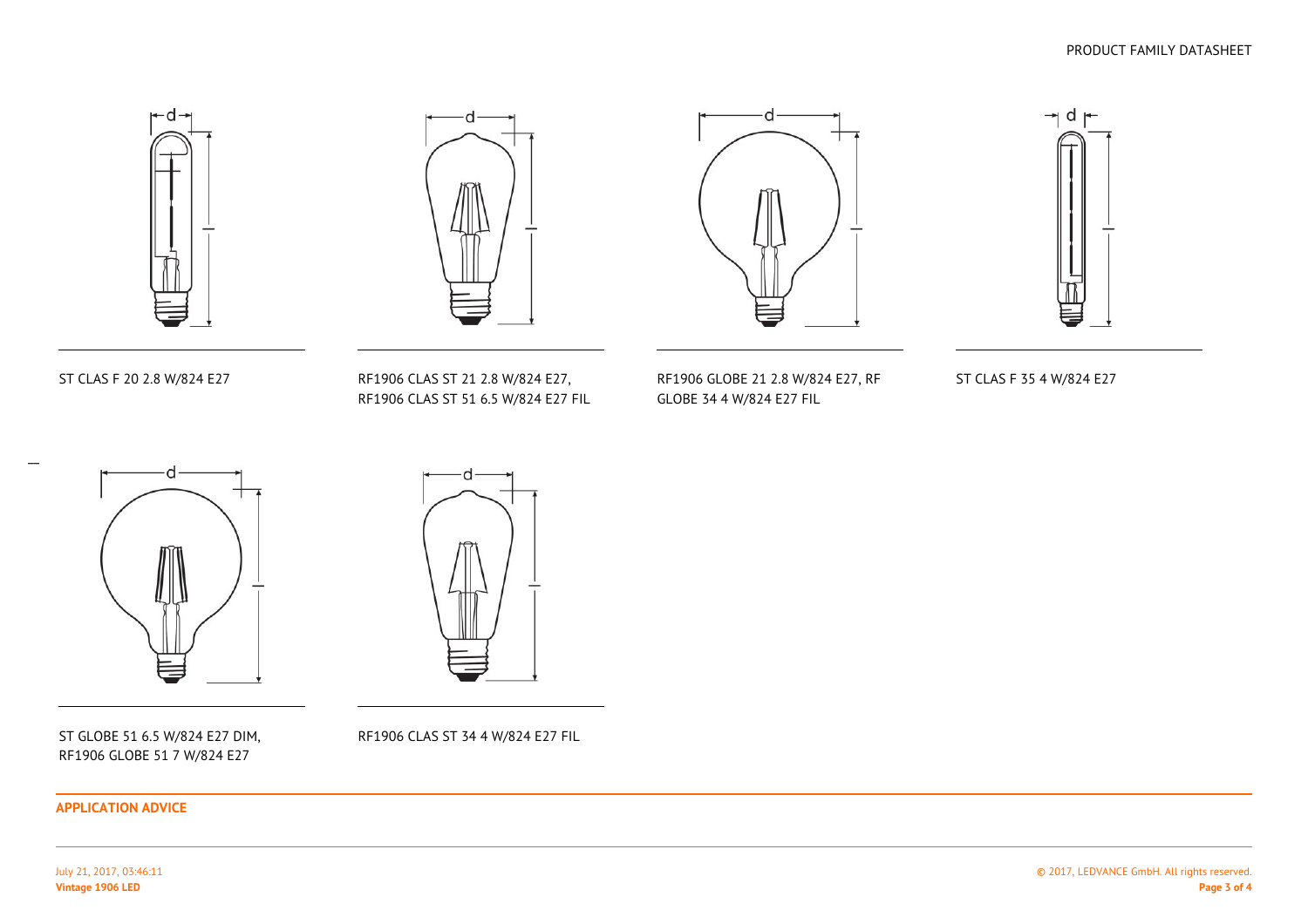



ST CLAS F 20 2.8 W/824 E27

 RF1906 CLAS ST 21 2.8 W/824 E27, RF1906 CLAS ST 51 6.5 W/824 E27 FIL



RF1906 GLOBE 21 2.8 W/824 E27, RF

GLOBE 34 4 W/824 E27 FIL



ST CLAS F 35 4 W/824 E27



ST GLOBE 51 6.5 W/824 E27 DIM,RF1906 GLOBE 51 7 W/824 E27

RF1906 CLAS ST 34 4 W/824 E27 FIL

**APPLICATION ADVICE**